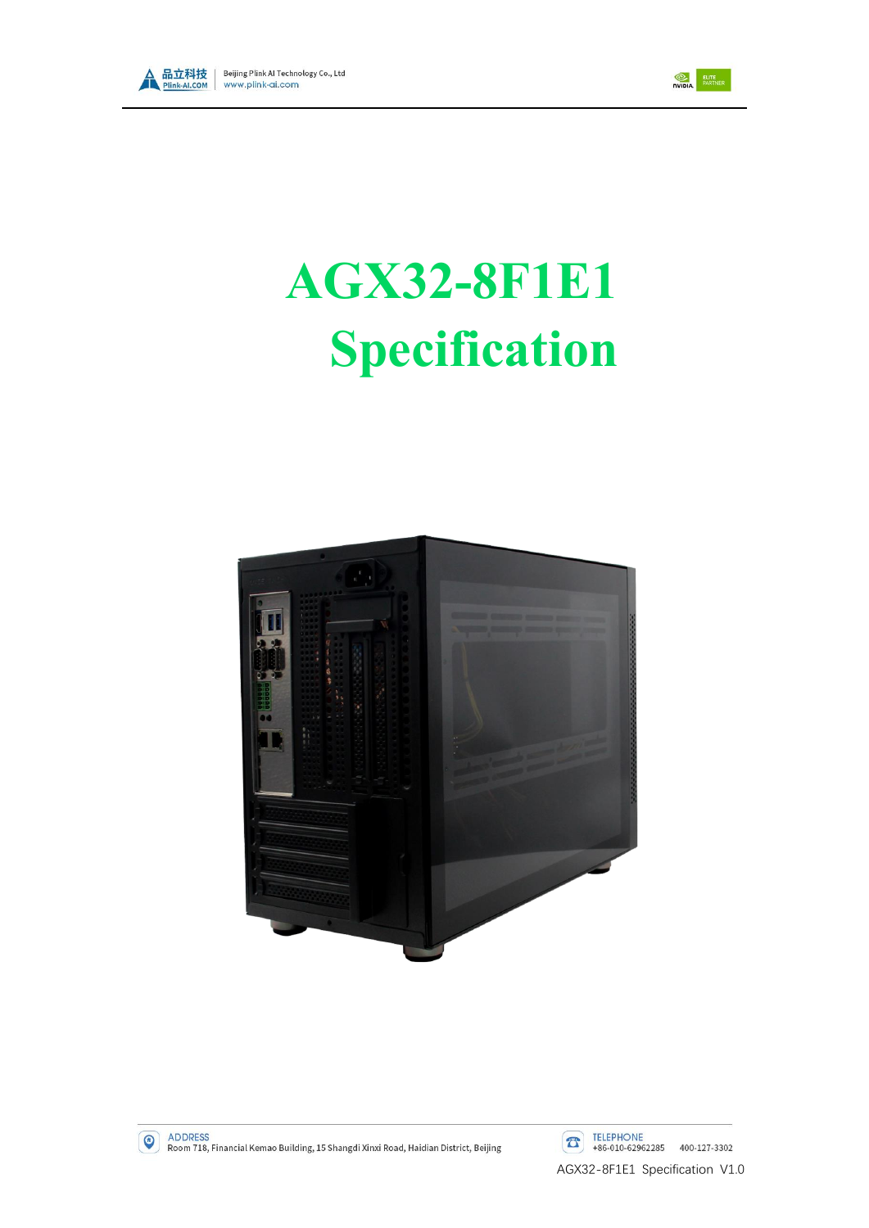



# **AGX32-8F1E1 Specification**



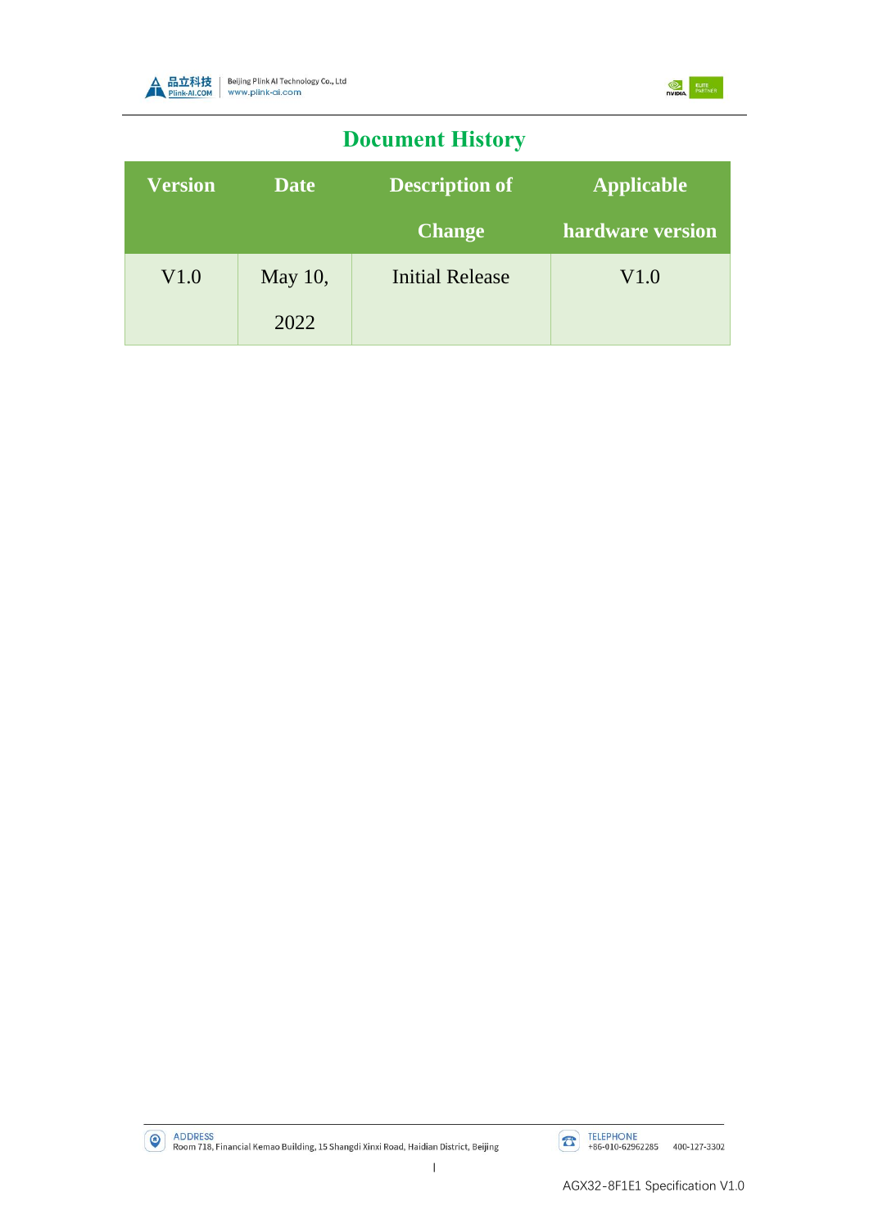



# **Document History**

| <b>Version</b> | <b>Date</b> | <b>Description of</b>  | <b>Applicable</b> |  |
|----------------|-------------|------------------------|-------------------|--|
|                |             | <b>Change</b>          | hardware version  |  |
| V1.0           | May 10,     | <b>Initial Release</b> | V1.0              |  |
|                | 2022        |                        |                   |  |

ADDRESS<br>Room 718, Financial Kemao Building, 15 Shangdi Xinxi Road, Haidian District, Beijing

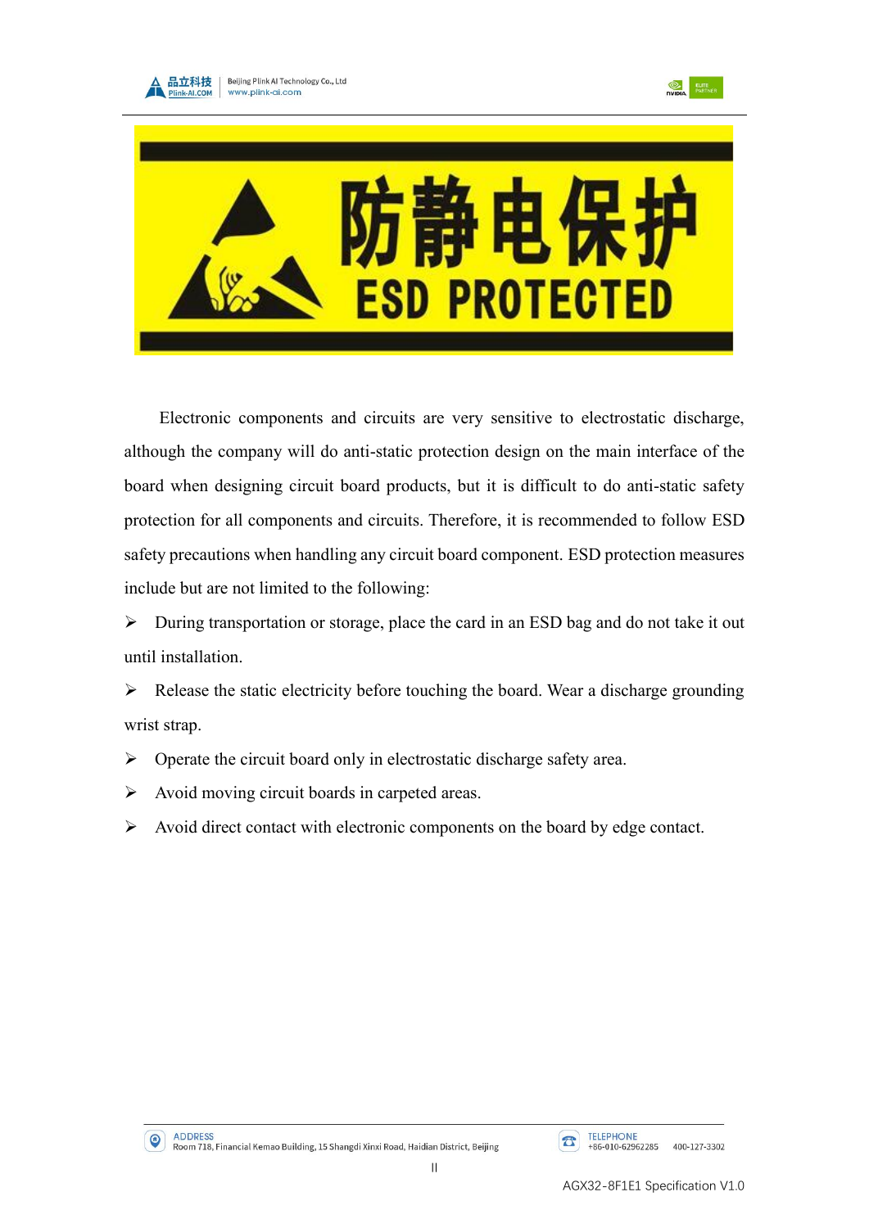





Electronic components and circuits are very sensitive to electrostatic discharge, although the company will do anti-static protection design on the main interface of the board when designing circuit board products, but it is difficult to do anti-static safety protection for all components and circuits. Therefore, it is recommended to follow ESD safety precautions when handling any circuit board component. ESD protection measures include but are not limited to the following:

➢ During transportation or storage, place the card in an ESD bag and do not take it out until installation.

 $\triangleright$  Release the static electricity before touching the board. Wear a discharge grounding wrist strap.

- ➢ Operate the circuit board only in electrostatic discharge safety area.
- $\triangleright$  Avoid moving circuit boards in carpeted areas.
- ➢ Avoid direct contact with electronic components on the board by edge contact.

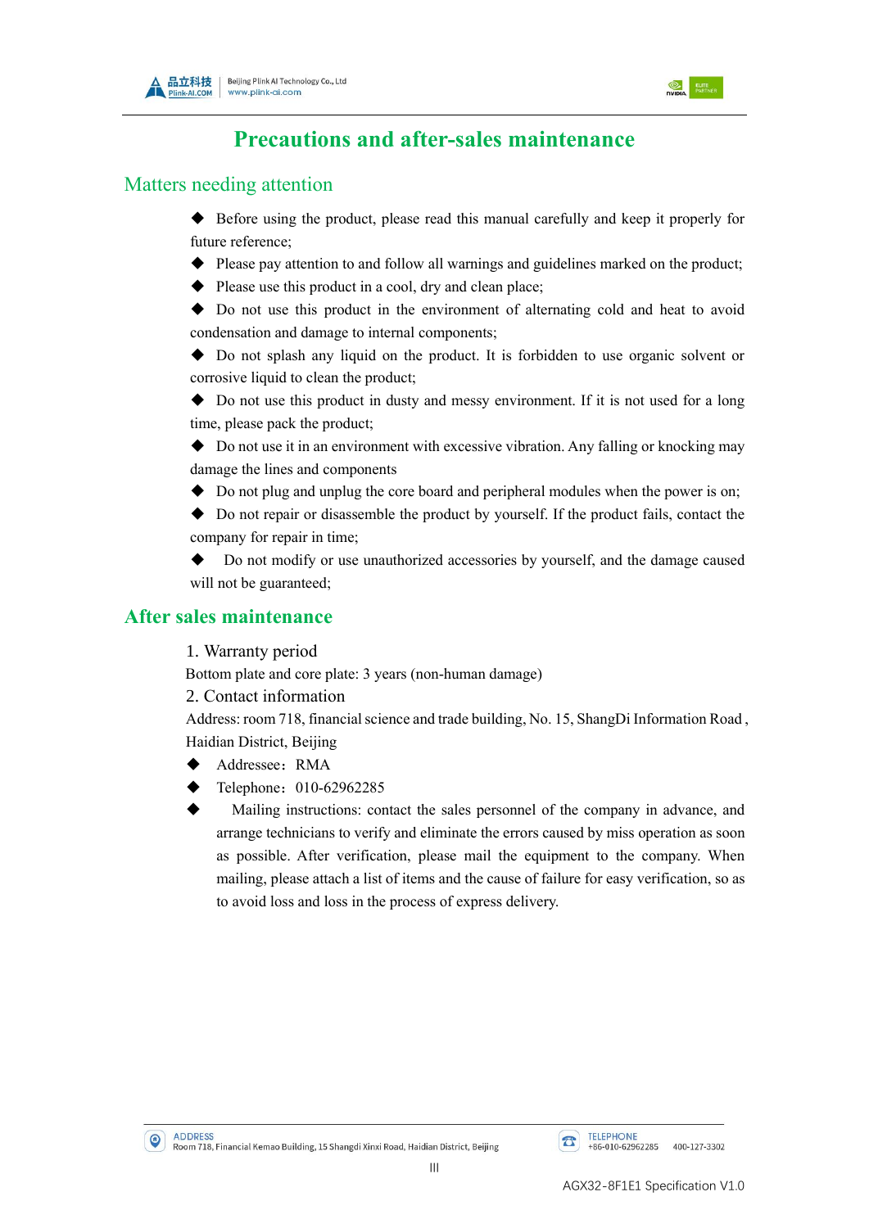



## **Precautions and after-sales maintenance**

#### Matters needing attention

- ◆ Before using the product, please read this manual carefully and keep it properly for future reference;
- ◆ Please pay attention to and follow all warnings and guidelines marked on the product;
- ◆ Please use this product in a cool, dry and clean place;

◆ Do not use this product in the environment of alternating cold and heat to avoid condensation and damage to internal components;

◆ Do not splash any liquid on the product. It is forbidden to use organic solvent or corrosive liquid to clean the product:

◆ Do not use this product in dusty and messy environment. If it is not used for a long time, please pack the product;

◆ Do not use it in an environment with excessive vibration. Any falling or knocking may damage the lines and components

◆ Do not plug and unplug the core board and peripheral modules when the power is on;

◆ Do not repair or disassemble the product by yourself. If the product fails, contact the company for repair in time;

Do not modify or use unauthorized accessories by yourself, and the damage caused will not be guaranteed;

#### **After sales maintenance**

1. Warranty period

Bottom plate and core plate: 3 years (non-human damage)

2. Contact information

Address: room 718, financial science and trade building, No. 15, ShangDi Information Road , Haidian District, Beijing

- Addressee: RMA
- Telephone: 010-62962285
- Mailing instructions: contact the sales personnel of the company in advance, and arrange technicians to verify and eliminate the errors caused by miss operation as soon as possible. After verification, please mail the equipment to the company. When mailing, please attach a list of items and the cause of failure for easy verification, so as to avoid loss and loss in the process of express delivery.

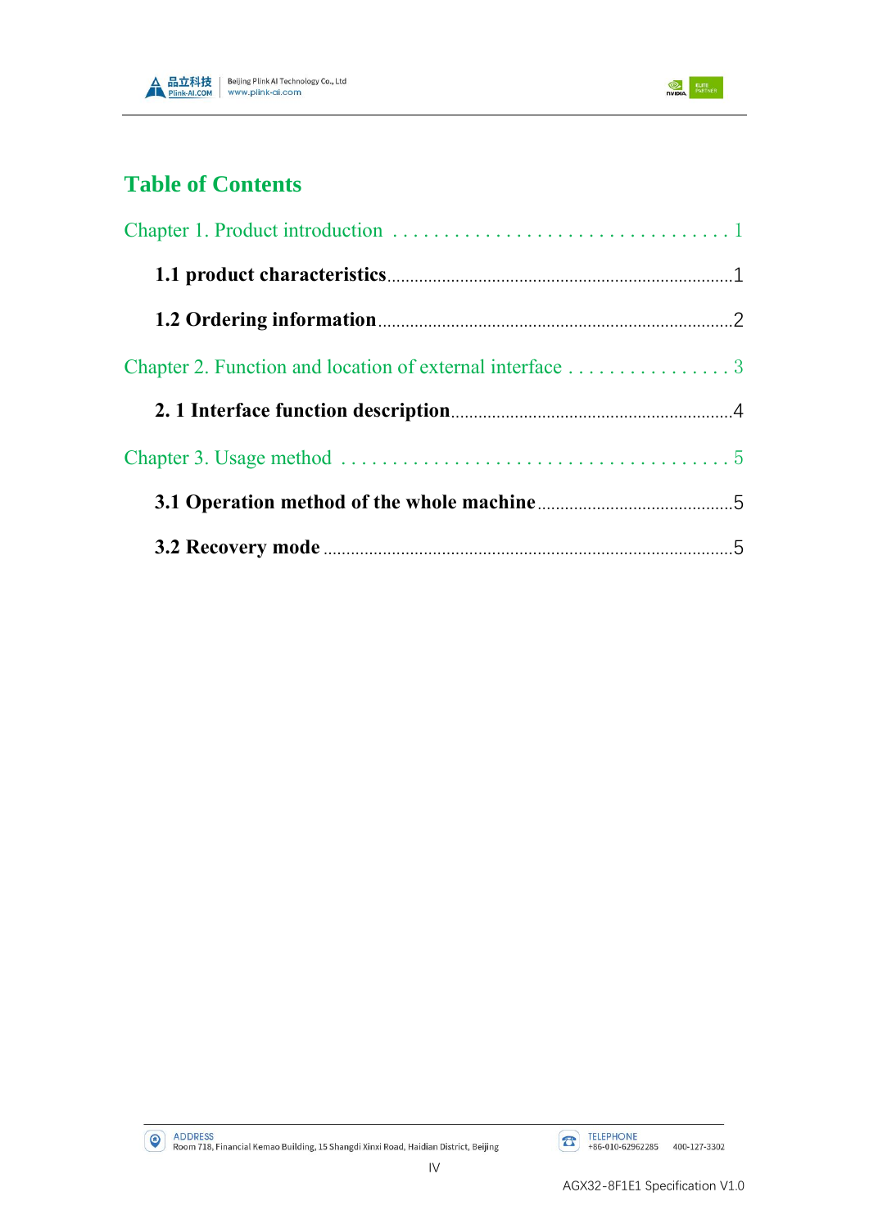



## **Table of Contents**

| Chapter 2. Function and location of external interface 3 |  |
|----------------------------------------------------------|--|
|                                                          |  |
|                                                          |  |
|                                                          |  |
|                                                          |  |

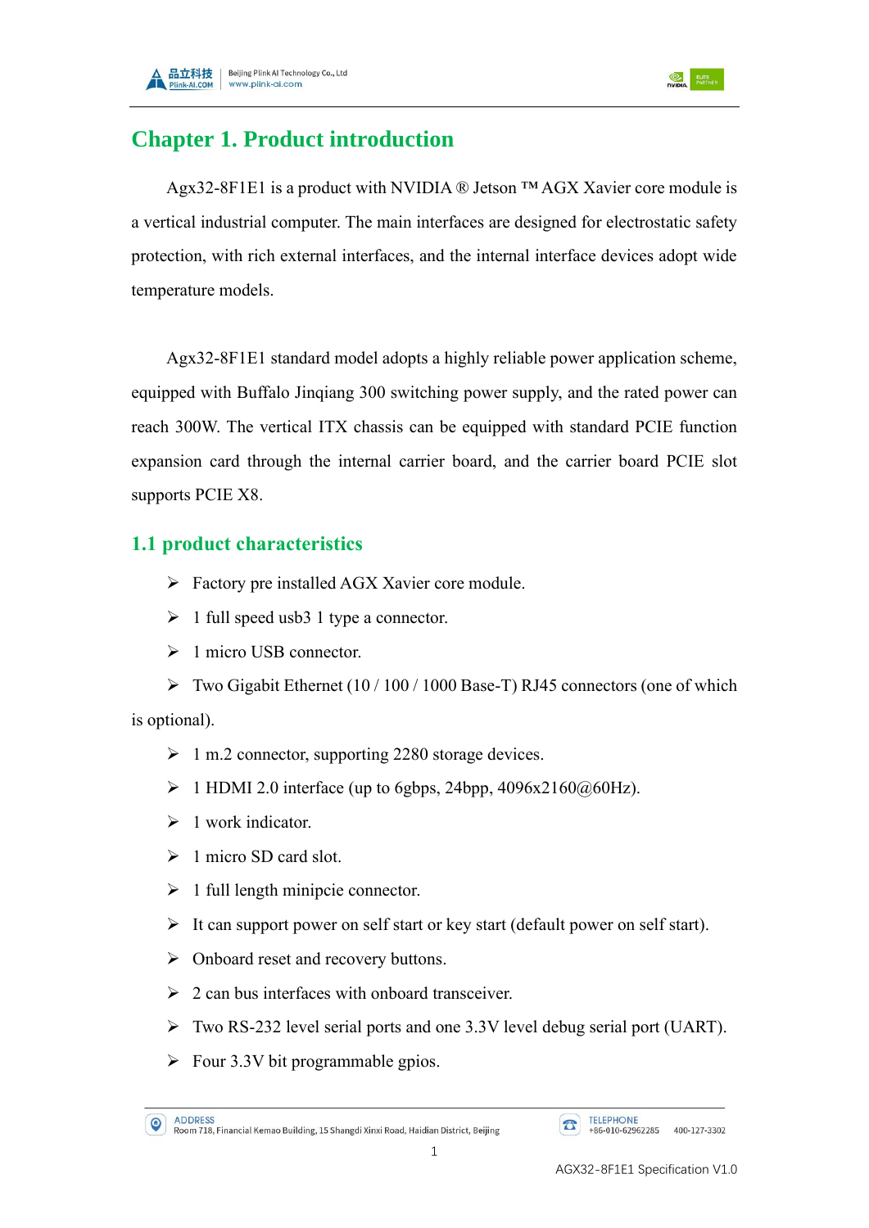



## <span id="page-5-0"></span>**Chapter 1. Product introduction**

Agx32-8F1E1 is a product with NVIDIA ® Jetson ™ AGX Xavier core module is a vertical industrial computer. The main interfaces are designed for electrostatic safety protection, with rich external interfaces, and the internal interface devices adopt wide temperature models.

Agx32-8F1E1 standard model adopts a highly reliable power application scheme, equipped with Buffalo Jinqiang 300 switching power supply, and the rated power can reach 300W. The vertical ITX chassis can be equipped with standard PCIE function expansion card through the internal carrier board, and the carrier board PCIE slot supports PCIE X8.

## <span id="page-5-1"></span>**1.1 product characteristics**

- ➢ Factory pre installed AGX Xavier core module.
- $\triangleright$  1 full speed usb3 1 type a connector.
- ➢ 1 micro USB connector.

 $\triangleright$  Two Gigabit Ethernet (10 / 100 / 1000 Base-T) RJ45 connectors (one of which is optional).

- ➢ 1 m.2 connector, supporting 2280 storage devices.
- $\triangleright$  1 HDMI 2.0 interface (up to 6gbps, 24bpp, 4096x2160 $@60Hz$ ).
- $\geq 1$  work indicator.
- $\geq 1$  micro SD card slot.
- $\triangleright$  1 full length minipcie connector.
- ➢ It can support power on self start or key start (default power on self start).
- ➢ Onboard reset and recovery buttons.
- $\geq 2$  can bus interfaces with onboard transceiver.
- ➢ Two RS-232 level serial ports and one 3.3V level debug serial port (UART).
- $\triangleright$  Four 3.3V bit programmable gpios.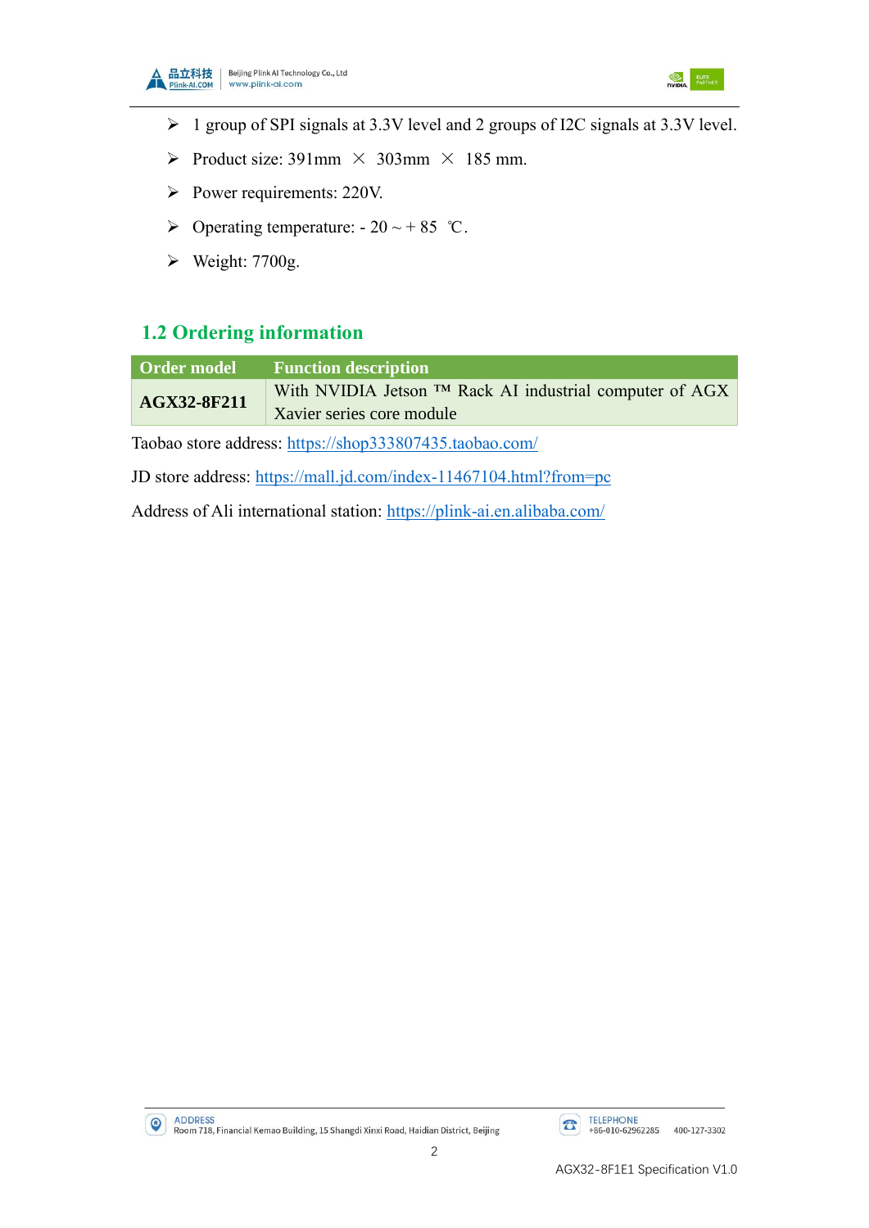



- ➢ 1 group of SPI signals at 3.3V level and 2 groups of I2C signals at 3.3V level.
- $\triangleright$  Product size: 391mm  $\times$  303mm  $\times$  185 mm.
- ➢ Power requirements: 220V.
- $\triangleright$  Operating temperature: 20 ~ + 85 °C.
- $\triangleright$  Weight: 7700g.

## <span id="page-6-0"></span>**1.2 Ordering information**

| Order model | <b>Function description</b>                             |
|-------------|---------------------------------------------------------|
| AGX32-8F211 | With NVIDIA Jetson ™ Rack AI industrial computer of AGX |
|             | Xavier series core module                               |

Taobao store address: <https://shop333807435.taobao.com/>

JD store address: <https://mall.jd.com/index-11467104.html?from=pc>

Address of Ali international station: https://plink-ai.en.alibaba.com/



AGX32-8F1E1 Specification V1.0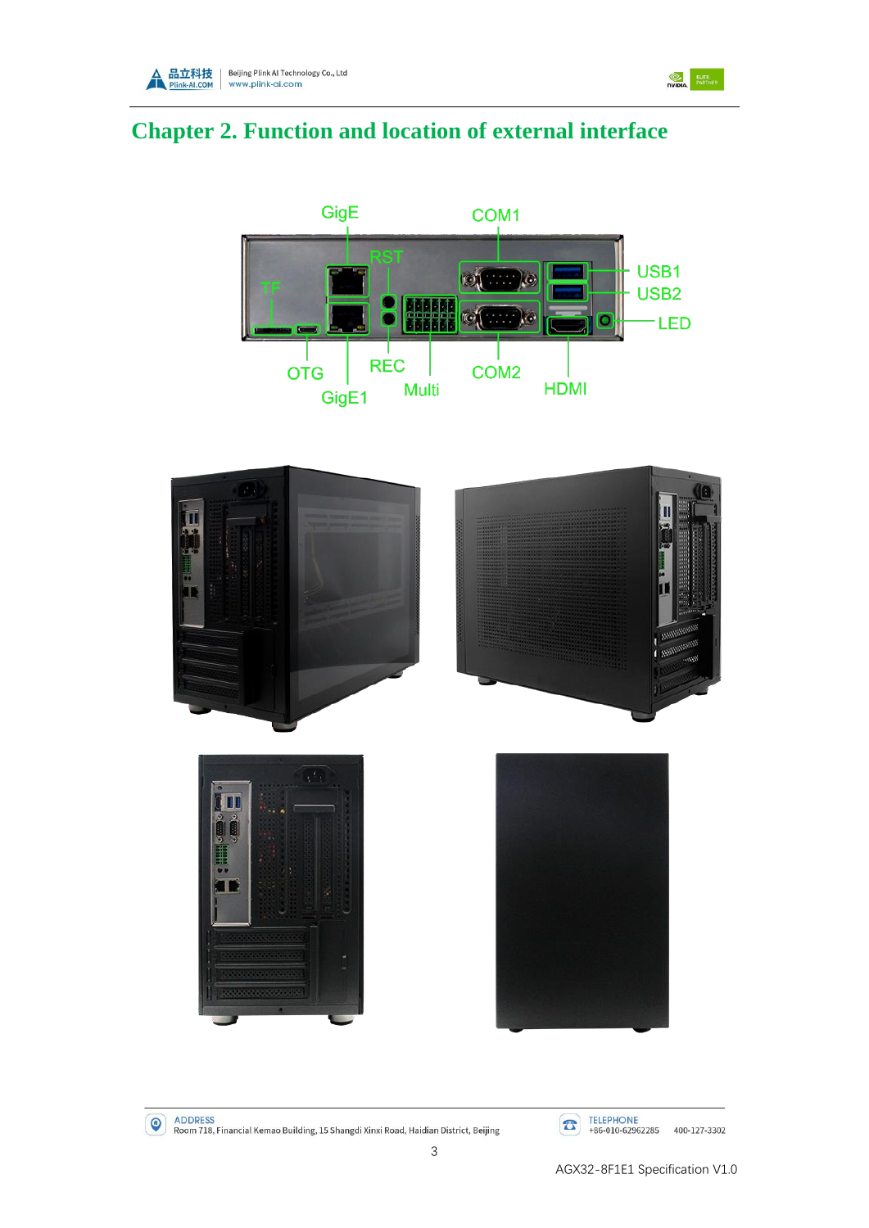



# <span id="page-7-0"></span>**Chapter 2. Function and location of external interface**





ADDRESS<br>Room 718, Financial Kemao Building, 15 Shangdi Xinxi Road, Haidian District, Beijing

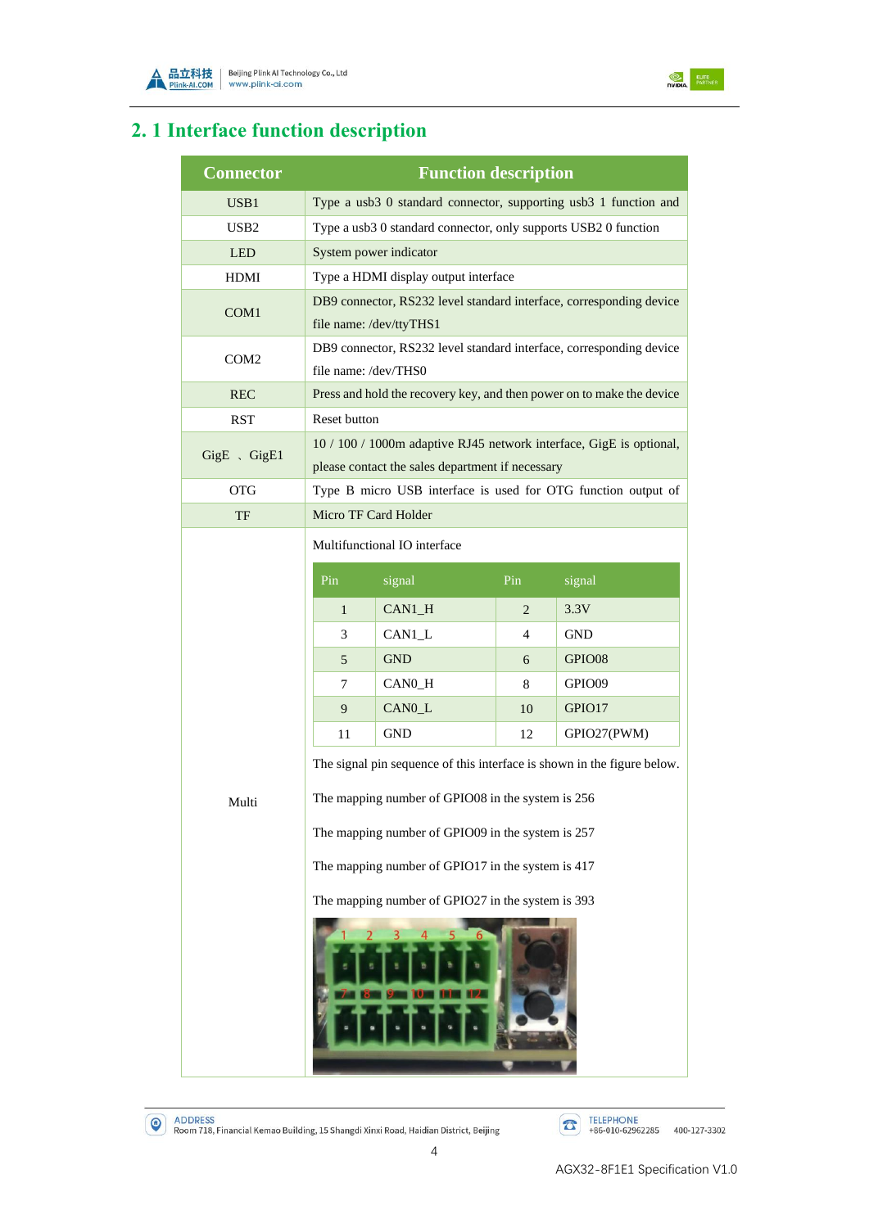



## <span id="page-8-0"></span>**2. 1 Interface function description**

| <b>Connector</b> | <b>Function description</b>                                                                                             |                      |                |                                                                       |  |  |
|------------------|-------------------------------------------------------------------------------------------------------------------------|----------------------|----------------|-----------------------------------------------------------------------|--|--|
| USB1             |                                                                                                                         |                      |                | Type a usb3 0 standard connector, supporting usb3 1 function and      |  |  |
| USB <sub>2</sub> | Type a usb3 0 standard connector, only supports USB2 0 function                                                         |                      |                |                                                                       |  |  |
| <b>LED</b>       | System power indicator                                                                                                  |                      |                |                                                                       |  |  |
| <b>HDMI</b>      | Type a HDMI display output interface                                                                                    |                      |                |                                                                       |  |  |
| COM1             | DB9 connector, RS232 level standard interface, corresponding device                                                     |                      |                |                                                                       |  |  |
|                  | file name: /dev/ttyTHS1                                                                                                 |                      |                |                                                                       |  |  |
| COM <sub>2</sub> | DB9 connector, RS232 level standard interface, corresponding device                                                     |                      |                |                                                                       |  |  |
|                  | file name: /dev/THS0                                                                                                    |                      |                |                                                                       |  |  |
| <b>REC</b>       |                                                                                                                         |                      |                | Press and hold the recovery key, and then power on to make the device |  |  |
| <b>RST</b>       | Reset button                                                                                                            |                      |                |                                                                       |  |  |
| GigE 、GigE1      | 10 / 100 / 1000m adaptive RJ45 network interface, GigE is optional,<br>please contact the sales department if necessary |                      |                |                                                                       |  |  |
| <b>OTG</b>       | Type B micro USB interface is used for OTG function output of                                                           |                      |                |                                                                       |  |  |
| TF               | Micro TF Card Holder                                                                                                    |                      |                |                                                                       |  |  |
|                  | Multifunctional IO interface                                                                                            |                      |                |                                                                       |  |  |
|                  | Pin                                                                                                                     | signal               | Pin            | signal                                                                |  |  |
|                  |                                                                                                                         |                      |                |                                                                       |  |  |
|                  | $\mathbf{1}$                                                                                                            | CAN1_H               | $\overline{2}$ | 3.3V<br><b>GND</b>                                                    |  |  |
|                  | 3<br>5                                                                                                                  | CAN1_L<br><b>GND</b> | 4              | GPIO08                                                                |  |  |
|                  | 7                                                                                                                       | CAN0_H               | 6<br>8         | GPIO09                                                                |  |  |
|                  | 9                                                                                                                       | CANO_L               | 10             | GPIO17                                                                |  |  |
|                  | 11                                                                                                                      | <b>GND</b>           | 12             | GPIO27(PWM)                                                           |  |  |
|                  |                                                                                                                         |                      |                |                                                                       |  |  |
|                  | The signal pin sequence of this interface is shown in the figure below.                                                 |                      |                |                                                                       |  |  |
| Multi            | The mapping number of GPIO08 in the system is 256                                                                       |                      |                |                                                                       |  |  |
|                  | The mapping number of GPIO09 in the system is 257                                                                       |                      |                |                                                                       |  |  |
|                  | The mapping number of GPIO17 in the system is 417                                                                       |                      |                |                                                                       |  |  |
|                  | The mapping number of GPIO27 in the system is 393                                                                       |                      |                |                                                                       |  |  |
|                  |                                                                                                                         |                      |                |                                                                       |  |  |